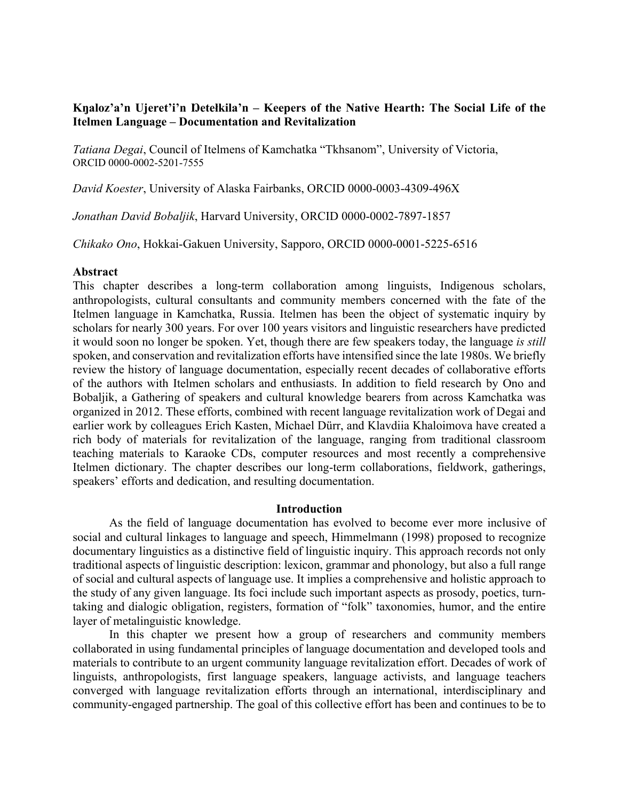# **Kŋaloz'a'n Ujeret'i'n Ŋetełkila'n – Keepers of the Native Hearth: The Social Life of the Itelmen Language – Documentation and Revitalization**

*Tatiana Degai*, Council of Itelmens of Kamchatka "Tkhsanom", University of Victoria, ORCID 0000-0002-5201-7555

*David Koester*, University of Alaska Fairbanks, ORCID 0000-0003-4309-496X

*Jonathan David Bobaljik*, Harvard University, ORCID 0000-0002-7897-1857

*Chikako Ono*, Hokkai-Gakuen University, Sapporo, ORCID 0000-0001-5225-6516

## **Abstract**

This chapter describes a long-term collaboration among linguists, Indigenous scholars, anthropologists, cultural consultants and community members concerned with the fate of the Itelmen language in Kamchatka, Russia. Itelmen has been the object of systematic inquiry by scholars for nearly 300 years. For over 100 years visitors and linguistic researchers have predicted it would soon no longer be spoken. Yet, though there are few speakers today, the language *is still* spoken, and conservation and revitalization efforts have intensified since the late 1980s. We briefly review the history of language documentation, especially recent decades of collaborative efforts of the authors with Itelmen scholars and enthusiasts. In addition to field research by Ono and Bobaljik, a Gathering of speakers and cultural knowledge bearers from across Kamchatka was organized in 2012. These efforts, combined with recent language revitalization work of Degai and earlier work by colleagues Erich Kasten, Michael Dürr, and Klavdiia Khaloimova have created a rich body of materials for revitalization of the language, ranging from traditional classroom teaching materials to Karaoke CDs, computer resources and most recently a comprehensive Itelmen dictionary. The chapter describes our long-term collaborations, fieldwork, gatherings, speakers' efforts and dedication, and resulting documentation.

## **Introduction**

As the field of language documentation has evolved to become ever more inclusive of social and cultural linkages to language and speech, Himmelmann (1998) proposed to recognize documentary linguistics as a distinctive field of linguistic inquiry. This approach records not only traditional aspects of linguistic description: lexicon, grammar and phonology, but also a full range of social and cultural aspects of language use. It implies a comprehensive and holistic approach to the study of any given language. Its foci include such important aspects as prosody, poetics, turntaking and dialogic obligation, registers, formation of "folk" taxonomies, humor, and the entire layer of metalinguistic knowledge.

In this chapter we present how a group of researchers and community members collaborated in using fundamental principles of language documentation and developed tools and materials to contribute to an urgent community language revitalization effort. Decades of work of linguists, anthropologists, first language speakers, language activists, and language teachers converged with language revitalization efforts through an international, interdisciplinary and community-engaged partnership. The goal of this collective effort has been and continues to be to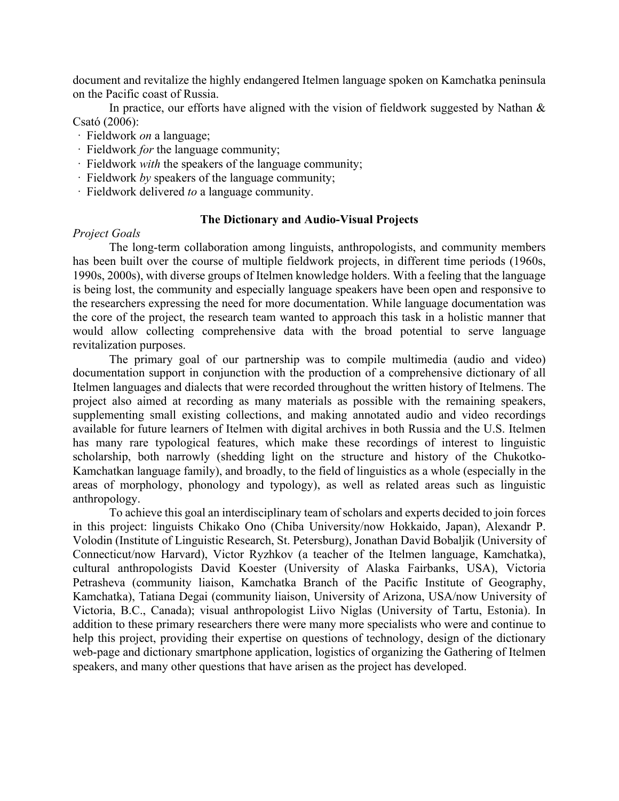document and revitalize the highly endangered Itelmen language spoken on Kamchatka peninsula on the Pacific coast of Russia.

In practice, our efforts have aligned with the vision of fieldwork suggested by Nathan  $\&$ Csató (2006):

- · Fieldwork *on* a language;
- · Fieldwork *for* the language community;
- · Fieldwork *with* the speakers of the language community;
- · Fieldwork *by* speakers of the language community;
- · Fieldwork delivered *to* a language community.

## **The Dictionary and Audio-Visual Projects**

## *Project Goals*

The long-term collaboration among linguists, anthropologists, and community members has been built over the course of multiple fieldwork projects, in different time periods (1960s, 1990s, 2000s), with diverse groups of Itelmen knowledge holders. With a feeling that the language is being lost, the community and especially language speakers have been open and responsive to the researchers expressing the need for more documentation. While language documentation was the core of the project, the research team wanted to approach this task in a holistic manner that would allow collecting comprehensive data with the broad potential to serve language revitalization purposes.

The primary goal of our partnership was to compile multimedia (audio and video) documentation support in conjunction with the production of a comprehensive dictionary of all Itelmen languages and dialects that were recorded throughout the written history of Itelmens. The project also aimed at recording as many materials as possible with the remaining speakers, supplementing small existing collections, and making annotated audio and video recordings available for future learners of Itelmen with digital archives in both Russia and the U.S. Itelmen has many rare typological features, which make these recordings of interest to linguistic scholarship, both narrowly (shedding light on the structure and history of the Chukotko-Kamchatkan language family), and broadly, to the field of linguistics as a whole (especially in the areas of morphology, phonology and typology), as well as related areas such as linguistic anthropology.

To achieve this goal an interdisciplinary team of scholars and experts decided to join forces in this project: linguists Chikako Ono (Chiba University/now Hokkaido, Japan), Alexandr P. Volodin (Institute of Linguistic Research, St. Petersburg), Jonathan David Bobaljik (University of Connecticut/now Harvard), Victor Ryzhkov (a teacher of the Itelmen language, Kamchatka), cultural anthropologists David Koester (University of Alaska Fairbanks, USA), Victoria Petrasheva (community liaison, Kamchatka Branch of the Pacific Institute of Geography, Kamchatka), Tatiana Degai (community liaison, University of Arizona, USA/now University of Victoria, B.C., Canada); visual anthropologist Liivo Niglas (University of Tartu, Estonia). In addition to these primary researchers there were many more specialists who were and continue to help this project, providing their expertise on questions of technology, design of the dictionary web-page and dictionary smartphone application, logistics of organizing the Gathering of Itelmen speakers, and many other questions that have arisen as the project has developed.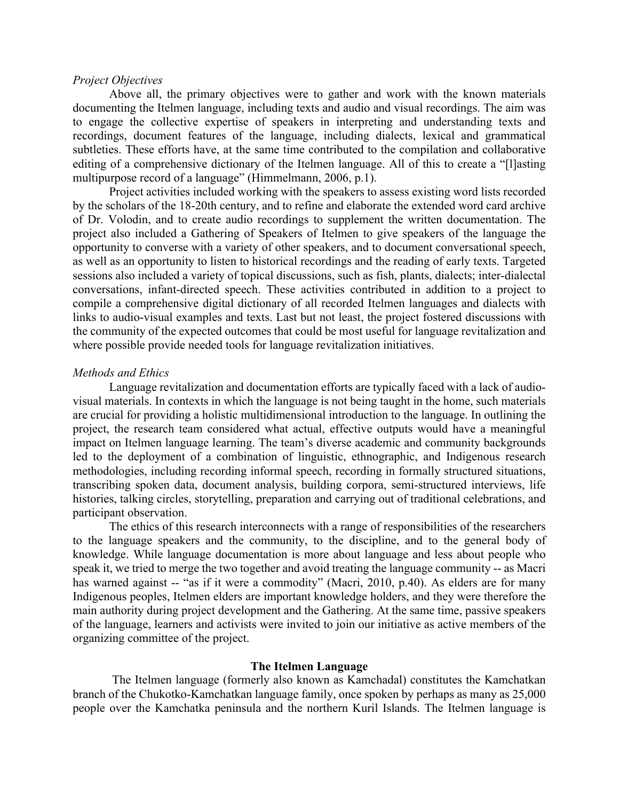## *Project Objectives*

Above all, the primary objectives were to gather and work with the known materials documenting the Itelmen language, including texts and audio and visual recordings. The aim was to engage the collective expertise of speakers in interpreting and understanding texts and recordings, document features of the language, including dialects, lexical and grammatical subtleties. These efforts have, at the same time contributed to the compilation and collaborative editing of a comprehensive dictionary of the Itelmen language. All of this to create a "[l]asting multipurpose record of a language" (Himmelmann, 2006, p.1).

Project activities included working with the speakers to assess existing word lists recorded by the scholars of the 18-20th century, and to refine and elaborate the extended word card archive of Dr. Volodin, and to create audio recordings to supplement the written documentation. The project also included a Gathering of Speakers of Itelmen to give speakers of the language the opportunity to converse with a variety of other speakers, and to document conversational speech, as well as an opportunity to listen to historical recordings and the reading of early texts. Targeted sessions also included a variety of topical discussions, such as fish, plants, dialects; inter-dialectal conversations, infant-directed speech. These activities contributed in addition to a project to compile a comprehensive digital dictionary of all recorded Itelmen languages and dialects with links to audio-visual examples and texts. Last but not least, the project fostered discussions with the community of the expected outcomes that could be most useful for language revitalization and where possible provide needed tools for language revitalization initiatives.

#### *Methods and Ethics*

Language revitalization and documentation efforts are typically faced with a lack of audiovisual materials. In contexts in which the language is not being taught in the home, such materials are crucial for providing a holistic multidimensional introduction to the language. In outlining the project, the research team considered what actual, effective outputs would have a meaningful impact on Itelmen language learning. The team's diverse academic and community backgrounds led to the deployment of a combination of linguistic, ethnographic, and Indigenous research methodologies, including recording informal speech, recording in formally structured situations, transcribing spoken data, document analysis, building corpora, semi-structured interviews, life histories, talking circles, storytelling, preparation and carrying out of traditional celebrations, and participant observation.

The ethics of this research interconnects with a range of responsibilities of the researchers to the language speakers and the community, to the discipline, and to the general body of knowledge. While language documentation is more about language and less about people who speak it, we tried to merge the two together and avoid treating the language community -- as Macri has warned against -- "as if it were a commodity" (Macri, 2010, p.40). As elders are for many Indigenous peoples, Itelmen elders are important knowledge holders, and they were therefore the main authority during project development and the Gathering. At the same time, passive speakers of the language, learners and activists were invited to join our initiative as active members of the organizing committee of the project.

## **The Itelmen Language**

The Itelmen language (formerly also known as Kamchadal) constitutes the Kamchatkan branch of the Chukotko-Kamchatkan language family, once spoken by perhaps as many as 25,000 people over the Kamchatka peninsula and the northern Kuril Islands. The Itelmen language is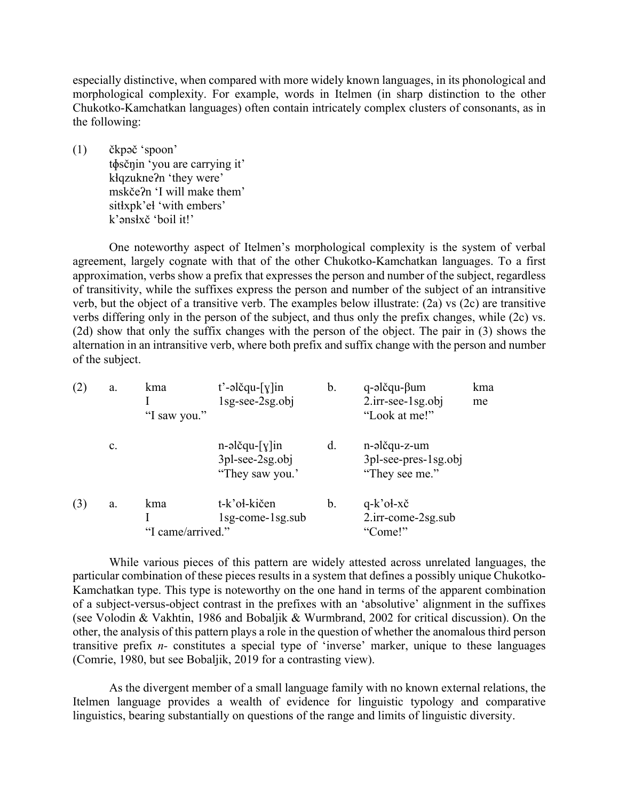especially distinctive, when compared with more widely known languages, in its phonological and morphological complexity. For example, words in Itelmen (in sharp distinction to the other Chukotko-Kamchatkan languages) often contain intricately complex clusters of consonants, as in the following:

(1) čkpəč 'spoon' tɸsčŋin 'you are carrying it' kɬqzukneʔn 'they were' mskčeʔn 'I will make them' sitky pk'el 'with embers' k'ənsɬxč 'boil it!'

One noteworthy aspect of Itelmen's morphological complexity is the system of verbal agreement, largely cognate with that of the other Chukotko-Kamchatkan languages. To a first approximation, verbs show a prefix that expresses the person and number of the subject, regardless of transitivity, while the suffixes express the person and number of the subject of an intransitive verb, but the object of a transitive verb. The examples below illustrate: (2a) vs (2c) are transitive verbs differing only in the person of the subject, and thus only the prefix changes, while (2c) vs. (2d) show that only the suffix changes with the person of the object. The pair in (3) shows the alternation in an intransitive verb, where both prefix and suffix change with the person and number of the subject.

| (2) | a. | kma<br>"I saw you."      | $t'$ -əlčqu- $[y]$ in<br>$1sg\text{-}see\text{-}2sg.obj$   | b. | $q$ -əlčqu- $\beta$ um<br>$2.\text{irr-see-1sg.obj}$<br>"Look at me!" | kma<br>me |
|-----|----|--------------------------|------------------------------------------------------------|----|-----------------------------------------------------------------------|-----------|
|     | c. |                          | $n$ -əlčqu- $[y]$ in<br>3pl-see-2sg.obj<br>"They saw you." | d. | n-əlčqu-z-um<br>$3$ pl-see-pres- $1$ sg.obj<br>"They see me."         |           |
| (3) | a. | kma<br>"I came/arrived." | t-k'oł-kičen<br>$1$ sg-come- $1$ sg.sub                    | b. | $q-k$ 'oł-xč<br>2.irr-come-2sg.sub<br>"Come!"                         |           |

While various pieces of this pattern are widely attested across unrelated languages, the particular combination of these pieces results in a system that defines a possibly unique Chukotko-Kamchatkan type. This type is noteworthy on the one hand in terms of the apparent combination of a subject-versus-object contrast in the prefixes with an 'absolutive' alignment in the suffixes (see Volodin & Vakhtin, 1986 and Bobaljik & Wurmbrand, 2002 for critical discussion). On the other, the analysis of this pattern plays a role in the question of whether the anomalous third person transitive prefix *n-* constitutes a special type of 'inverse' marker, unique to these languages (Comrie, 1980, but see Bobaljik, 2019 for a contrasting view).

As the divergent member of a small language family with no known external relations, the Itelmen language provides a wealth of evidence for linguistic typology and comparative linguistics, bearing substantially on questions of the range and limits of linguistic diversity.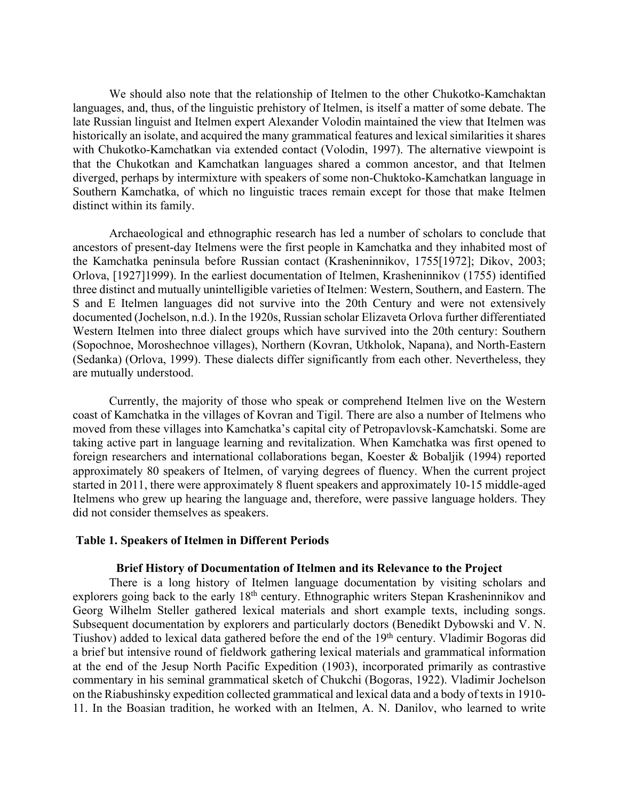We should also note that the relationship of Itelmen to the other Chukotko-Kamchaktan languages, and, thus, of the linguistic prehistory of Itelmen, is itself a matter of some debate. The late Russian linguist and Itelmen expert Alexander Volodin maintained the view that Itelmen was historically an isolate, and acquired the many grammatical features and lexical similarities it shares with Chukotko-Kamchatkan via extended contact (Volodin, 1997). The alternative viewpoint is that the Chukotkan and Kamchatkan languages shared a common ancestor, and that Itelmen diverged, perhaps by intermixture with speakers of some non-Chuktoko-Kamchatkan language in Southern Kamchatka, of which no linguistic traces remain except for those that make Itelmen distinct within its family.

Archaeological and ethnographic research has led a number of scholars to conclude that ancestors of present-day Itelmens were the first people in Kamchatka and they inhabited most of the Kamchatka peninsula before Russian contact (Krasheninnikov, 1755[1972]; Dikov, 2003; Orlova, [1927]1999). In the earliest documentation of Itelmen, Krasheninnikov (1755) identified three distinct and mutually unintelligible varieties of Itelmen: Western, Southern, and Eastern. The S and E Itelmen languages did not survive into the 20th Century and were not extensively documented (Jochelson, n.d.). In the 1920s, Russian scholar Elizaveta Orlova further differentiated Western Itelmen into three dialect groups which have survived into the 20th century: Southern (Sopochnoe, Moroshechnoe villages), Northern (Kovran, Utkholok, Napana), and North-Eastern (Sedanka) (Orlova, 1999). These dialects differ significantly from each other. Nevertheless, they are mutually understood.

Currently, the majority of those who speak or comprehend Itelmen live on the Western coast of Kamchatka in the villages of Kovran and Tigil. There are also a number of Itelmens who moved from these villages into Kamchatka's capital city of Petropavlovsk-Kamchatski. Some are taking active part in language learning and revitalization. When Kamchatka was first opened to foreign researchers and international collaborations began, Koester & Bobaljik (1994) reported approximately 80 speakers of Itelmen, of varying degrees of fluency. When the current project started in 2011, there were approximately 8 fluent speakers and approximately 10-15 middle-aged Itelmens who grew up hearing the language and, therefore, were passive language holders. They did not consider themselves as speakers.

### **Table 1. Speakers of Itelmen in Different Periods**

#### **Brief History of Documentation of Itelmen and its Relevance to the Project**

There is a long history of Itelmen language documentation by visiting scholars and explorers going back to the early 18<sup>th</sup> century. Ethnographic writers Stepan Krasheninnikov and Georg Wilhelm Steller gathered lexical materials and short example texts, including songs. Subsequent documentation by explorers and particularly doctors (Benedikt Dybowski and V. N. Tiushov) added to lexical data gathered before the end of the 19th century. Vladimir Bogoras did a brief but intensive round of fieldwork gathering lexical materials and grammatical information at the end of the Jesup North Pacific Expedition (1903), incorporated primarily as contrastive commentary in his seminal grammatical sketch of Chukchi (Bogoras, 1922). Vladimir Jochelson on the Riabushinsky expedition collected grammatical and lexical data and a body of texts in 1910- 11. In the Boasian tradition, he worked with an Itelmen, A. N. Danilov, who learned to write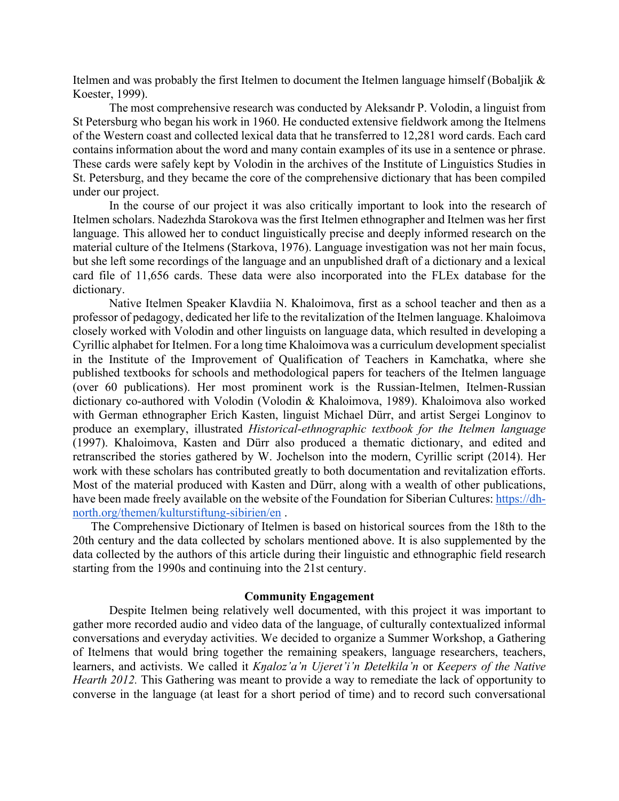Itelmen and was probably the first Itelmen to document the Itelmen language himself (Bobaljik & Koester, 1999).

The most comprehensive research was conducted by Aleksandr P. Volodin, a linguist from St Petersburg who began his work in 1960. He conducted extensive fieldwork among the Itelmens of the Western coast and collected lexical data that he transferred to 12,281 word cards. Each card contains information about the word and many contain examples of its use in a sentence or phrase. These cards were safely kept by Volodin in the archives of the Institute of Linguistics Studies in St. Petersburg, and they became the core of the comprehensive dictionary that has been compiled under our project.

In the course of our project it was also critically important to look into the research of Itelmen scholars. Nadezhda Starokova was the first Itelmen ethnographer and Itelmen was her first language. This allowed her to conduct linguistically precise and deeply informed research on the material culture of the Itelmens (Starkova, 1976). Language investigation was not her main focus, but she left some recordings of the language and an unpublished draft of a dictionary and a lexical card file of 11,656 cards. These data were also incorporated into the FLEx database for the dictionary.

Native Itelmen Speaker Klavdiia N. Khaloimova, first as a school teacher and then as a professor of pedagogy, dedicated her life to the revitalization of the Itelmen language. Khaloimova closely worked with Volodin and other linguists on language data, which resulted in developing a Cyrillic alphabet for Itelmen. For a long time Khaloimova was a curriculum development specialist in the Institute of the Improvement of Qualification of Teachers in Kamchatka, where she published textbooks for schools and methodological papers for teachers of the Itelmen language (over 60 publications). Her most prominent work is the Russian-Itelmen, Itelmen-Russian dictionary co-authored with Volodin (Volodin & Khaloimova, 1989). Khaloimova also worked with German ethnographer Erich Kasten, linguist Michael Dürr, and artist Sergei Longinov to produce an exemplary, illustrated *Historical-ethnographic textbook for the Itelmen language*  (1997). Khaloimova, Kasten and Dürr also produced a thematic dictionary, and edited and retranscribed the stories gathered by W. Jochelson into the modern, Cyrillic script (2014). Her work with these scholars has contributed greatly to both documentation and revitalization efforts. Most of the material produced with Kasten and Dürr, along with a wealth of other publications, have been made freely available on the website of the Foundation for Siberian Cultures: https://dhnorth.org/themen/kulturstiftung-sibirien/en .

The Comprehensive Dictionary of Itelmen is based on historical sources from the 18th to the 20th century and the data collected by scholars mentioned above. It is also supplemented by the data collected by the authors of this article during their linguistic and ethnographic field research starting from the 1990s and continuing into the 21st century.

### **Community Engagement**

Despite Itelmen being relatively well documented, with this project it was important to gather more recorded audio and video data of the language, of culturally contextualized informal conversations and everyday activities. We decided to organize a Summer Workshop, a Gathering of Itelmens that would bring together the remaining speakers, language researchers, teachers, learners, and activists. We called it *Kŋaloz'a'n Ujeret'i'n Ŋetełkila'n* or *Keepers of the Native Hearth 2012.* This Gathering was meant to provide a way to remediate the lack of opportunity to converse in the language (at least for a short period of time) and to record such conversational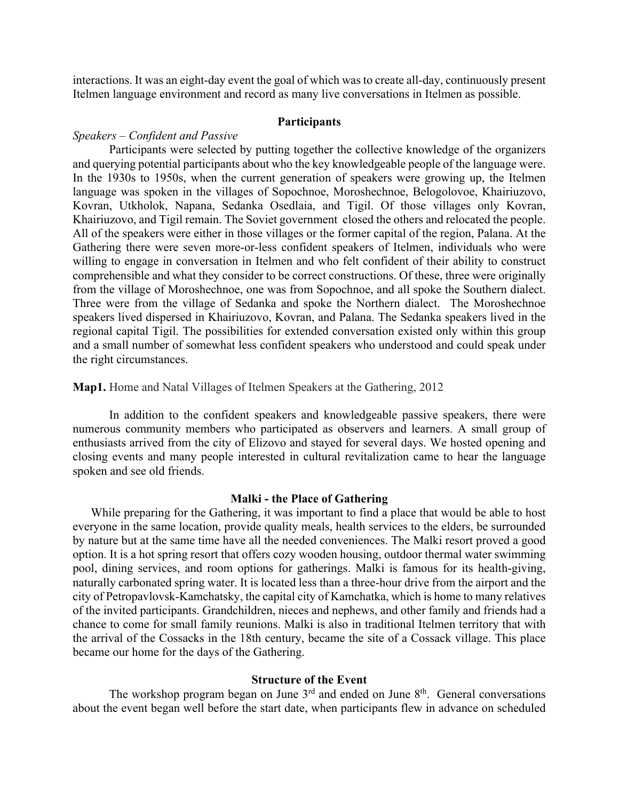interactions. It was an eight-day event the goal of which was to create all-day, continuously present Itelmen language environment and record as many live conversations in Itelmen as possible.

### **Participants**

# *Speakers – Confident and Passive*

Participants were selected by putting together the collective knowledge of the organizers and querying potential participants about who the key knowledgeable people of the language were. In the 1930s to 1950s, when the current generation of speakers were growing up, the Itelmen language was spoken in the villages of Sopochnoe, Moroshechnoe, Belogolovoe, Khairiuzovo, Kovran, Utkholok, Napana, Sedanka Osedlaia, and Tigil. Of those villages only Kovran, Khairiuzovo, and Tigil remain. The Soviet government closed the others and relocated the people. All of the speakers were either in those villages or the former capital of the region, Palana. At the Gathering there were seven more-or-less confident speakers of Itelmen, individuals who were willing to engage in conversation in Itelmen and who felt confident of their ability to construct comprehensible and what they consider to be correct constructions. Of these, three were originally from the village of Moroshechnoe, one was from Sopochnoe, and all spoke the Southern dialect. Three were from the village of Sedanka and spoke the Northern dialect. The Moroshechnoe speakers lived dispersed in Khairiuzovo, Kovran, and Palana. The Sedanka speakers lived in the regional capital Tigil. The possibilities for extended conversation existed only within this group and a small number of somewhat less confident speakers who understood and could speak under the right circumstances.

**Map1.** Home and Natal Villages of Itelmen Speakers at the Gathering, 2012

In addition to the confident speakers and knowledgeable passive speakers, there were numerous community members who participated as observers and learners. A small group of enthusiasts arrived from the city of Elizovo and stayed for several days. We hosted opening and closing events and many people interested in cultural revitalization came to hear the language spoken and see old friends.

#### **Malki - the Place of Gathering**

While preparing for the Gathering, it was important to find a place that would be able to host everyone in the same location, provide quality meals, health services to the elders, be surrounded by nature but at the same time have all the needed conveniences. The Malki resort proved a good option. It is a hot spring resort that offers cozy wooden housing, outdoor thermal water swimming pool, dining services, and room options for gatherings. Malki is famous for its health-giving, naturally carbonated spring water. It is located less than a three-hour drive from the airport and the city of Petropavlovsk-Kamchatsky, the capital city of Kamchatka, which is home to many relatives of the invited participants. Grandchildren, nieces and nephews, and other family and friends had a chance to come for small family reunions. Malki is also in traditional Itelmen territory that with the arrival of the Cossacks in the 18th century, became the site of a Cossack village. This place became our home for the days of the Gathering.

## **Structure of the Event**

The workshop program began on June  $3<sup>rd</sup>$  and ended on June  $8<sup>th</sup>$ . General conversations about the event began well before the start date, when participants flew in advance on scheduled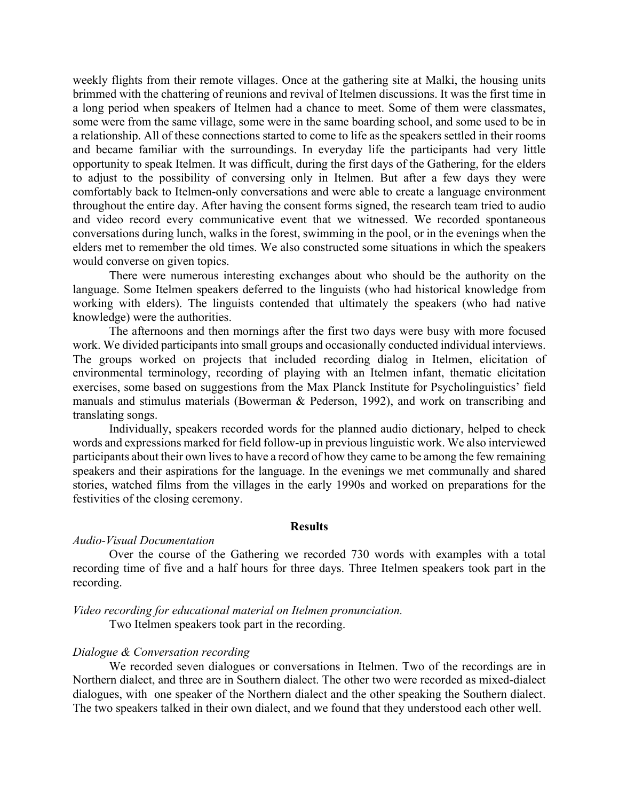weekly flights from their remote villages. Once at the gathering site at Malki, the housing units brimmed with the chattering of reunions and revival of Itelmen discussions. It was the first time in a long period when speakers of Itelmen had a chance to meet. Some of them were classmates, some were from the same village, some were in the same boarding school, and some used to be in a relationship. All of these connections started to come to life as the speakers settled in their rooms and became familiar with the surroundings. In everyday life the participants had very little opportunity to speak Itelmen. It was difficult, during the first days of the Gathering, for the elders to adjust to the possibility of conversing only in Itelmen. But after a few days they were comfortably back to Itelmen-only conversations and were able to create a language environment throughout the entire day. After having the consent forms signed, the research team tried to audio and video record every communicative event that we witnessed. We recorded spontaneous conversations during lunch, walks in the forest, swimming in the pool, or in the evenings when the elders met to remember the old times. We also constructed some situations in which the speakers would converse on given topics.

There were numerous interesting exchanges about who should be the authority on the language. Some Itelmen speakers deferred to the linguists (who had historical knowledge from working with elders). The linguists contended that ultimately the speakers (who had native knowledge) were the authorities.

The afternoons and then mornings after the first two days were busy with more focused work. We divided participants into small groups and occasionally conducted individual interviews. The groups worked on projects that included recording dialog in Itelmen, elicitation of environmental terminology, recording of playing with an Itelmen infant, thematic elicitation exercises, some based on suggestions from the Max Planck Institute for Psycholinguistics' field manuals and stimulus materials (Bowerman & Pederson, 1992), and work on transcribing and translating songs.

Individually, speakers recorded words for the planned audio dictionary, helped to check words and expressions marked for field follow-up in previous linguistic work. We also interviewed participants about their own lives to have a record of how they came to be among the few remaining speakers and their aspirations for the language. In the evenings we met communally and shared stories, watched films from the villages in the early 1990s and worked on preparations for the festivities of the closing ceremony.

#### **Results**

### *Audio-Visual Documentation*

Over the course of the Gathering we recorded 730 words with examples with a total recording time of five and a half hours for three days. Three Itelmen speakers took part in the recording.

#### *Video recording for educational material on Itelmen pronunciation.*

Two Itelmen speakers took part in the recording.

## *Dialogue & Conversation recording*

We recorded seven dialogues or conversations in Itelmen. Two of the recordings are in Northern dialect, and three are in Southern dialect. The other two were recorded as mixed-dialect dialogues, with one speaker of the Northern dialect and the other speaking the Southern dialect. The two speakers talked in their own dialect, and we found that they understood each other well.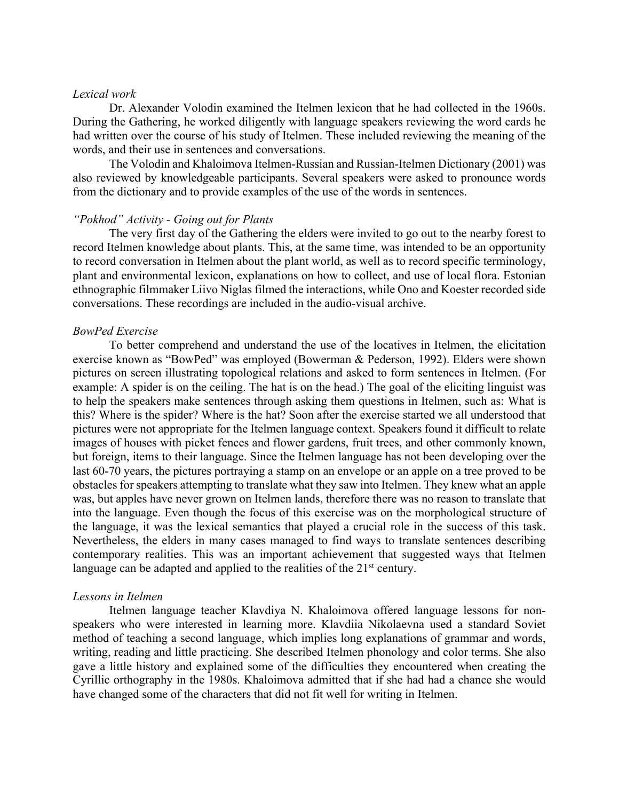### *Lexical work*

Dr. Alexander Volodin examined the Itelmen lexicon that he had collected in the 1960s. During the Gathering, he worked diligently with language speakers reviewing the word cards he had written over the course of his study of Itelmen. These included reviewing the meaning of the words, and their use in sentences and conversations.

The Volodin and Khaloimova Itelmen-Russian and Russian-Itelmen Dictionary (2001) was also reviewed by knowledgeable participants. Several speakers were asked to pronounce words from the dictionary and to provide examples of the use of the words in sentences.

#### *"Pokhod" Activity - Going out for Plants*

The very first day of the Gathering the elders were invited to go out to the nearby forest to record Itelmen knowledge about plants. This, at the same time, was intended to be an opportunity to record conversation in Itelmen about the plant world, as well as to record specific terminology, plant and environmental lexicon, explanations on how to collect, and use of local flora. Estonian ethnographic filmmaker Liivo Niglas filmed the interactions, while Ono and Koester recorded side conversations. These recordings are included in the audio-visual archive.

### *BowPed Exercise*

To better comprehend and understand the use of the locatives in Itelmen, the elicitation exercise known as "BowPed" was employed (Bowerman & Pederson, 1992). Elders were shown pictures on screen illustrating topological relations and asked to form sentences in Itelmen. (For example: A spider is on the ceiling. The hat is on the head.) The goal of the eliciting linguist was to help the speakers make sentences through asking them questions in Itelmen, such as: What is this? Where is the spider? Where is the hat? Soon after the exercise started we all understood that pictures were not appropriate for the Itelmen language context. Speakers found it difficult to relate images of houses with picket fences and flower gardens, fruit trees, and other commonly known, but foreign, items to their language. Since the Itelmen language has not been developing over the last 60-70 years, the pictures portraying a stamp on an envelope or an apple on a tree proved to be obstacles for speakers attempting to translate what they saw into Itelmen. They knew what an apple was, but apples have never grown on Itelmen lands, therefore there was no reason to translate that into the language. Even though the focus of this exercise was on the morphological structure of the language, it was the lexical semantics that played a crucial role in the success of this task. Nevertheless, the elders in many cases managed to find ways to translate sentences describing contemporary realities. This was an important achievement that suggested ways that Itelmen language can be adapted and applied to the realities of the  $21<sup>st</sup>$  century.

#### *Lessons in Itelmen*

Itelmen language teacher Klavdiya N. Khaloimova offered language lessons for nonspeakers who were interested in learning more. Klavdiia Nikolaevna used a standard Soviet method of teaching a second language, which implies long explanations of grammar and words, writing, reading and little practicing. She described Itelmen phonology and color terms. She also gave a little history and explained some of the difficulties they encountered when creating the Cyrillic orthography in the 1980s. Khaloimova admitted that if she had had a chance she would have changed some of the characters that did not fit well for writing in Itelmen.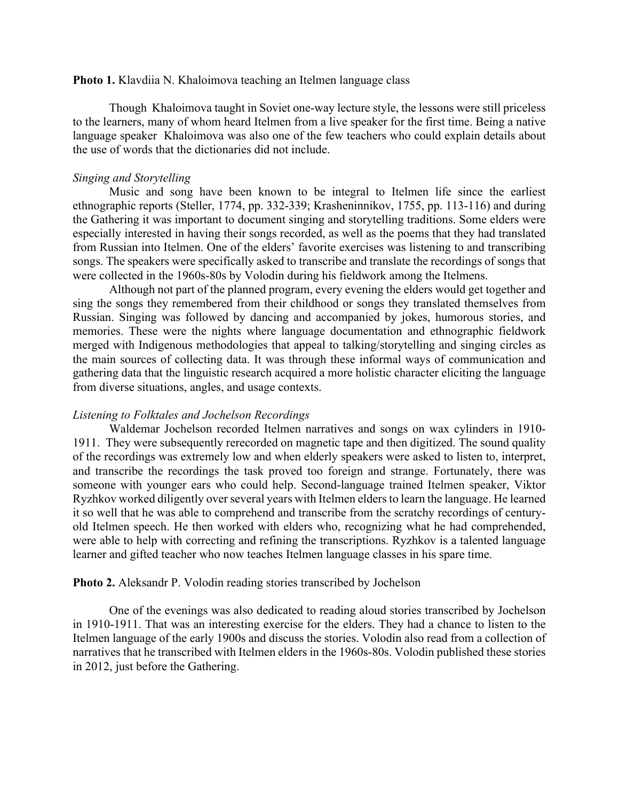### **Photo 1.** Klavdiia N. Khaloimova teaching an Itelmen language class

Though Khaloimova taught in Soviet one-way lecture style, the lessons were still priceless to the learners, many of whom heard Itelmen from a live speaker for the first time. Being a native language speaker Khaloimova was also one of the few teachers who could explain details about the use of words that the dictionaries did not include.

## *Singing and Storytelling*

Music and song have been known to be integral to Itelmen life since the earliest ethnographic reports (Steller, 1774, pp. 332-339; Krasheninnikov, 1755, pp. 113-116) and during the Gathering it was important to document singing and storytelling traditions. Some elders were especially interested in having their songs recorded, as well as the poems that they had translated from Russian into Itelmen. One of the elders' favorite exercises was listening to and transcribing songs. The speakers were specifically asked to transcribe and translate the recordings of songs that were collected in the 1960s-80s by Volodin during his fieldwork among the Itelmens.

Although not part of the planned program, every evening the elders would get together and sing the songs they remembered from their childhood or songs they translated themselves from Russian. Singing was followed by dancing and accompanied by jokes, humorous stories, and memories. These were the nights where language documentation and ethnographic fieldwork merged with Indigenous methodologies that appeal to talking/storytelling and singing circles as the main sources of collecting data. It was through these informal ways of communication and gathering data that the linguistic research acquired a more holistic character eliciting the language from diverse situations, angles, and usage contexts.

## *Listening to Folktales and Jochelson Recordings*

Waldemar Jochelson recorded Itelmen narratives and songs on wax cylinders in 1910- 1911. They were subsequently rerecorded on magnetic tape and then digitized. The sound quality of the recordings was extremely low and when elderly speakers were asked to listen to, interpret, and transcribe the recordings the task proved too foreign and strange. Fortunately, there was someone with younger ears who could help. Second-language trained Itelmen speaker, Viktor Ryzhkov worked diligently over several years with Itelmen elders to learn the language. He learned it so well that he was able to comprehend and transcribe from the scratchy recordings of centuryold Itelmen speech. He then worked with elders who, recognizing what he had comprehended, were able to help with correcting and refining the transcriptions. Ryzhkov is a talented language learner and gifted teacher who now teaches Itelmen language classes in his spare time.

#### **Photo 2.** Aleksandr P. Volodin reading stories transcribed by Jochelson

One of the evenings was also dedicated to reading aloud stories transcribed by Jochelson in 1910-1911. That was an interesting exercise for the elders. They had a chance to listen to the Itelmen language of the early 1900s and discuss the stories. Volodin also read from a collection of narratives that he transcribed with Itelmen elders in the 1960s-80s. Volodin published these stories in 2012, just before the Gathering.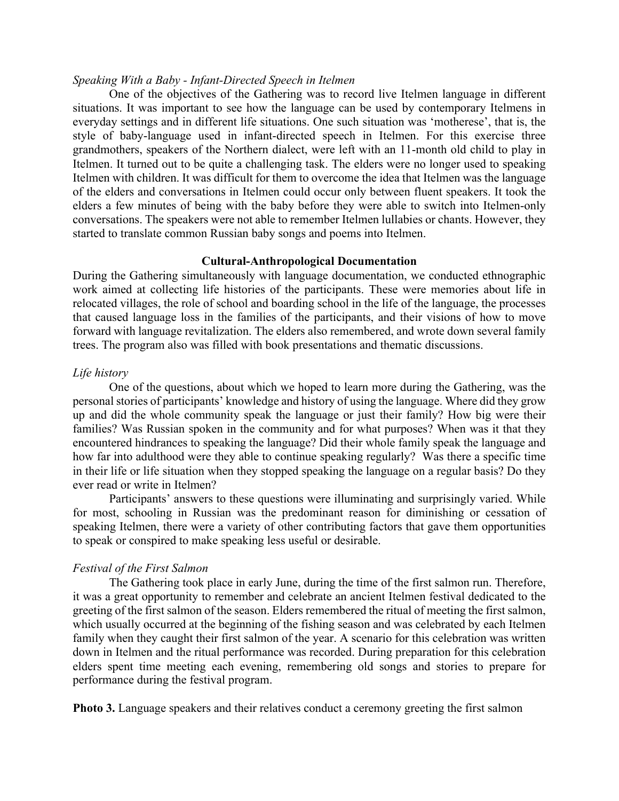## *Speaking With a Baby - Infant-Directed Speech in Itelmen*

One of the objectives of the Gathering was to record live Itelmen language in different situations. It was important to see how the language can be used by contemporary Itelmens in everyday settings and in different life situations. One such situation was 'motherese', that is, the style of baby-language used in infant-directed speech in Itelmen. For this exercise three grandmothers, speakers of the Northern dialect, were left with an 11-month old child to play in Itelmen. It turned out to be quite a challenging task. The elders were no longer used to speaking Itelmen with children. It was difficult for them to overcome the idea that Itelmen was the language of the elders and conversations in Itelmen could occur only between fluent speakers. It took the elders a few minutes of being with the baby before they were able to switch into Itelmen-only conversations. The speakers were not able to remember Itelmen lullabies or chants. However, they started to translate common Russian baby songs and poems into Itelmen.

## **Cultural-Anthropological Documentation**

During the Gathering simultaneously with language documentation, we conducted ethnographic work aimed at collecting life histories of the participants. These were memories about life in relocated villages, the role of school and boarding school in the life of the language, the processes that caused language loss in the families of the participants, and their visions of how to move forward with language revitalization. The elders also remembered, and wrote down several family trees. The program also was filled with book presentations and thematic discussions.

### *Life history*

One of the questions, about which we hoped to learn more during the Gathering, was the personal stories of participants' knowledge and history of using the language. Where did they grow up and did the whole community speak the language or just their family? How big were their families? Was Russian spoken in the community and for what purposes? When was it that they encountered hindrances to speaking the language? Did their whole family speak the language and how far into adulthood were they able to continue speaking regularly? Was there a specific time in their life or life situation when they stopped speaking the language on a regular basis? Do they ever read or write in Itelmen?

Participants' answers to these questions were illuminating and surprisingly varied. While for most, schooling in Russian was the predominant reason for diminishing or cessation of speaking Itelmen, there were a variety of other contributing factors that gave them opportunities to speak or conspired to make speaking less useful or desirable.

## *Festival of the First Salmon*

The Gathering took place in early June, during the time of the first salmon run. Therefore, it was a great opportunity to remember and celebrate an ancient Itelmen festival dedicated to the greeting of the first salmon of the season. Elders remembered the ritual of meeting the first salmon, which usually occurred at the beginning of the fishing season and was celebrated by each Itelmen family when they caught their first salmon of the year. A scenario for this celebration was written down in Itelmen and the ritual performance was recorded. During preparation for this celebration elders spent time meeting each evening, remembering old songs and stories to prepare for performance during the festival program.

**Photo 3.** Language speakers and their relatives conduct a ceremony greeting the first salmon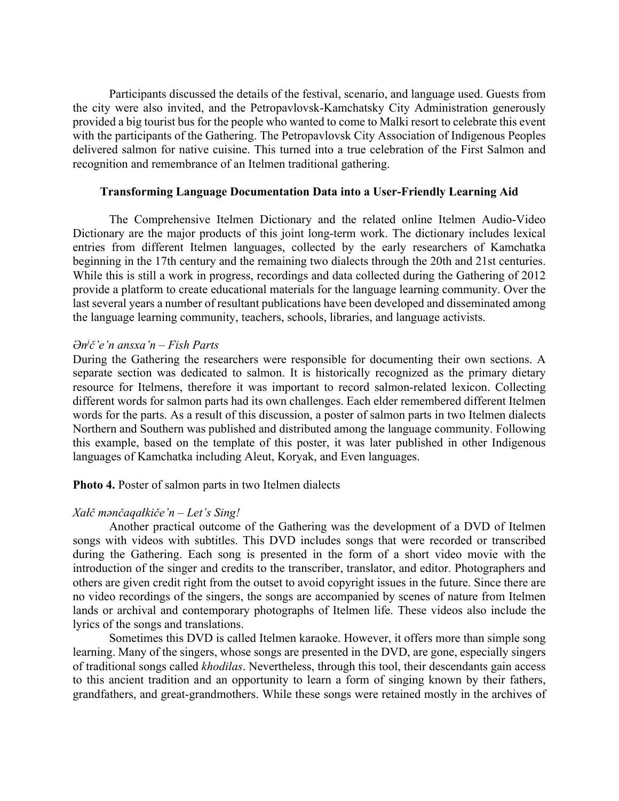Participants discussed the details of the festival, scenario, and language used. Guests from the city were also invited, and the Petropavlovsk-Kamchatsky City Administration generously provided a big tourist bus for the people who wanted to come to Malki resort to celebrate this event with the participants of the Gathering. The Petropavlovsk City Association of Indigenous Peoples delivered salmon for native cuisine. This turned into a true celebration of the First Salmon and recognition and remembrance of an Itelmen traditional gathering.

## **Transforming Language Documentation Data into a User-Friendly Learning Aid**

The Comprehensive Itelmen Dictionary and the related online Itelmen Audio-Video Dictionary are the major products of this joint long-term work. The dictionary includes lexical entries from different Itelmen languages, collected by the early researchers of Kamchatka beginning in the 17th century and the remaining two dialects through the 20th and 21st centuries. While this is still a work in progress, recordings and data collected during the Gathering of 2012 provide a platform to create educational materials for the language learning community. Over the last several years a number of resultant publications have been developed and disseminated among the language learning community, teachers, schools, libraries, and language activists.

# *Ənj č'e'n ansxa'n – Fish Parts*

During the Gathering the researchers were responsible for documenting their own sections. A separate section was dedicated to salmon. It is historically recognized as the primary dietary resource for Itelmens, therefore it was important to record salmon-related lexicon. Collecting different words for salmon parts had its own challenges. Each elder remembered different Itelmen words for the parts. As a result of this discussion, a poster of salmon parts in two Itelmen dialects Northern and Southern was published and distributed among the language community. Following this example, based on the template of this poster, it was later published in other Indigenous languages of Kamchatka including Aleut, Koryak, and Even languages.

**Photo 4.** Poster of salmon parts in two Itelmen dialects

# *Xałč mǝnčaqałkiče'n – Let's Sing!*

Another practical outcome of the Gathering was the development of a DVD of Itelmen songs with videos with subtitles. This DVD includes songs that were recorded or transcribed during the Gathering. Each song is presented in the form of a short video movie with the introduction of the singer and credits to the transcriber, translator, and editor. Photographers and others are given credit right from the outset to avoid copyright issues in the future. Since there are no video recordings of the singers, the songs are accompanied by scenes of nature from Itelmen lands or archival and contemporary photographs of Itelmen life. These videos also include the lyrics of the songs and translations.

Sometimes this DVD is called Itelmen karaoke. However, it offers more than simple song learning. Many of the singers, whose songs are presented in the DVD, are gone, especially singers of traditional songs called *khodilas*. Nevertheless, through this tool, their descendants gain access to this ancient tradition and an opportunity to learn a form of singing known by their fathers, grandfathers, and great-grandmothers. While these songs were retained mostly in the archives of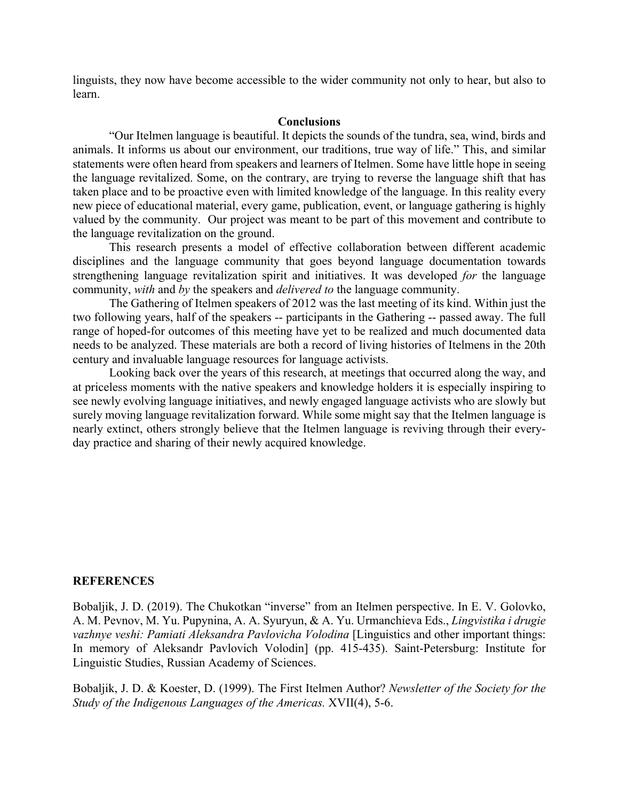linguists, they now have become accessible to the wider community not only to hear, but also to learn.

### **Conclusions**

"Our Itelmen language is beautiful. It depicts the sounds of the tundra, sea, wind, birds and animals. It informs us about our environment, our traditions, true way of life." This, and similar statements were often heard from speakers and learners of Itelmen. Some have little hope in seeing the language revitalized. Some, on the contrary, are trying to reverse the language shift that has taken place and to be proactive even with limited knowledge of the language. In this reality every new piece of educational material, every game, publication, event, or language gathering is highly valued by the community. Our project was meant to be part of this movement and contribute to the language revitalization on the ground.

This research presents a model of effective collaboration between different academic disciplines and the language community that goes beyond language documentation towards strengthening language revitalization spirit and initiatives. It was developed *for* the language community, *with* and *by* the speakers and *delivered to* the language community.

The Gathering of Itelmen speakers of 2012 was the last meeting of its kind. Within just the two following years, half of the speakers -- participants in the Gathering -- passed away. The full range of hoped-for outcomes of this meeting have yet to be realized and much documented data needs to be analyzed. These materials are both a record of living histories of Itelmens in the 20th century and invaluable language resources for language activists.

Looking back over the years of this research, at meetings that occurred along the way, and at priceless moments with the native speakers and knowledge holders it is especially inspiring to see newly evolving language initiatives, and newly engaged language activists who are slowly but surely moving language revitalization forward. While some might say that the Itelmen language is nearly extinct, others strongly believe that the Itelmen language is reviving through their everyday practice and sharing of their newly acquired knowledge.

## **REFERENCES**

Bobaljik, J. D. (2019). The Chukotkan "inverse" from an Itelmen perspective. In E. V. Golovko, A. M. Pevnov, M. Yu. Pupynina, A. A. Syuryun, & A. Yu. Urmanchieva Eds., *Lingvistika i drugie vazhnye veshi: Pamiati Aleksandra Pavlovicha Volodina* [Linguistics and other important things: In memory of Aleksandr Pavlovich Volodin] (pp. 415-435). Saint-Petersburg: Institute for Linguistic Studies, Russian Academy of Sciences.

Bobaljik, J. D. & Koester, D. (1999). The First Itelmen Author? *Newsletter of the Society for the Study of the Indigenous Languages of the Americas.* XVII(4), 5‑6.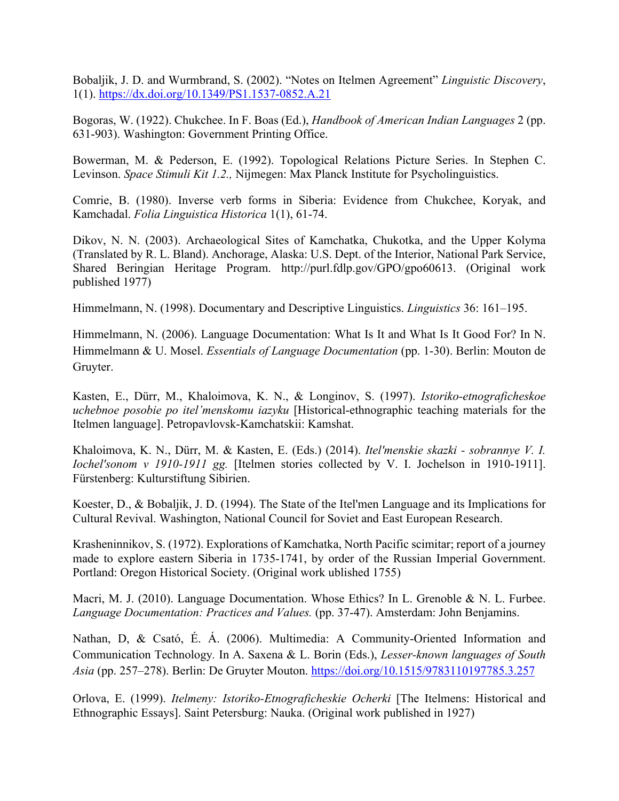Bobaljik, J. D. and Wurmbrand, S. (2002). "Notes on Itelmen Agreement" *Linguistic Discovery*, 1(1). https://dx.doi.org/10.1349/PS1.1537-0852.A.21

Bogoras, W. (1922). Chukchee. In F. Boas (Ed.), *Handbook of American Indian Languages* 2 (pp. 631-903). Washington: Government Printing Office.

Bowerman, M. & Pederson, E. (1992). Topological Relations Picture Series. In Stephen C. Levinson. *Space Stimuli Kit 1.2.,* Nijmegen: Max Planck Institute for Psycholinguistics.

Comrie, B. (1980). Inverse verb forms in Siberia: Evidence from Chukchee, Koryak, and Kamchadal. *Folia Linguistica Historica* 1(1), 61-74.

Dikov, N. N. (2003). Archaeological Sites of Kamchatka, Chukotka, and the Upper Kolyma (Translated by R. L. Bland). Anchorage, Alaska: U.S. Dept. of the Interior, National Park Service, Shared Beringian Heritage Program. http://purl.fdlp.gov/GPO/gpo60613. (Original work published 1977)

Himmelmann, N. (1998). Documentary and Descriptive Linguistics. *Linguistics* 36: 161–195.

Himmelmann, N. (2006). Language Documentation: What Is It and What Is It Good For? In N. Himmelmann & U. Mosel. *Essentials of Language Documentation* (pp. 1-30). Berlin: Mouton de Gruyter.

Kasten, E., Dürr, M., Khaloimova, K. N., & Longinov, S. (1997). *Istoriko-etnograficheskoe uchebnoe posobie po itel'menskomu iazyku* [Historical-ethnographic teaching materials for the Itelmen language]. Petropavlovsk-Kamchatskii: Kamshat.

Khaloimova, K. N., Dürr, M. & Kasten, E. (Eds.) (2014). *Itel'menskie skazki - sobrannye V. I. Iochel'sonom v 1910-1911 gg.* [Itelmen stories collected by V. I. Jochelson in 1910-1911]. Fürstenberg: Kulturstiftung Sibirien.

Koester, D., & Bobaljik, J. D. (1994). The State of the Itel'men Language and its Implications for Cultural Revival. Washington, National Council for Soviet and East European Research.

Krasheninnikov, S. (1972). Explorations of Kamchatka, North Pacific scimitar; report of a journey made to explore eastern Siberia in 1735-1741, by order of the Russian Imperial Government. Portland: Oregon Historical Society. (Original work ublished 1755)

Macri, M. J. (2010). Language Documentation. Whose Ethics? In L. Grenoble & N. L. Furbee. *Language Documentation: Practices and Values.* (pp. 37-47). Amsterdam: John Benjamins.

Nathan, D, & Csató, É. Á. (2006). Multimedia: A Community-Oriented Information and Communication Technology*.* In A. Saxena & L. Borin (Eds.), *Lesser-known languages of South Asia* (pp. 257–278). Berlin: De Gruyter Mouton. https://doi.org/10.1515/9783110197785.3.257

Orlova, E. (1999). *Itelmeny: Istoriko-Etnograficheskie Ocherki* [The Itelmens: Historical and Ethnographic Essays]. Saint Petersburg: Nauka. (Original work published in 1927)